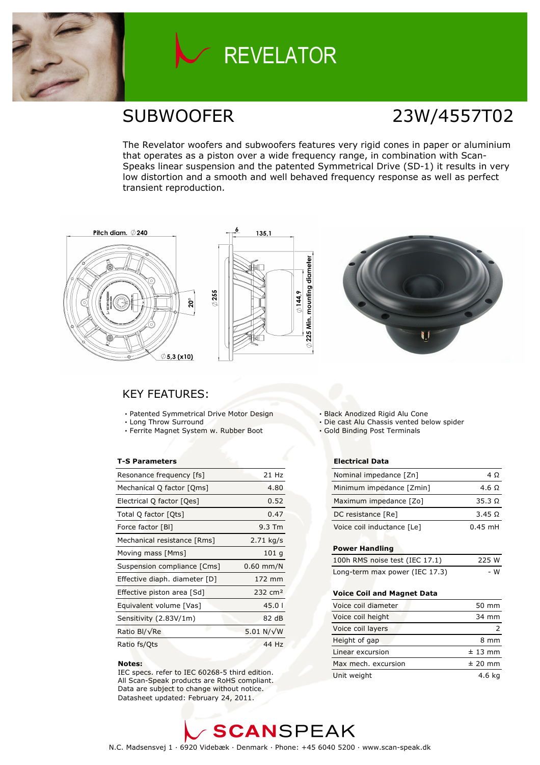

# **REVELATOR**

# SUBWOOFER 23W/4557T02

The Revelator woofers and subwoofers features very rigid cones in paper or aluminium that operates as a piston over a wide frequency range, in combination with Scan-Speaks linear suspension and the patented Symmetrical Drive (SD-1) it results in very low distortion and a smooth and well behaved frequency response as well as perfect transient reproduction.







### KEY FEATURES:

- Patented Symmetrical Drive Motor Design
- Long Throw Surround
- Ferrite Magnet System w. Rubber Boot

### T-S Parameters

| Resonance frequency [fs]      | 21 Hz               |
|-------------------------------|---------------------|
| Mechanical Q factor [Qms]     | 4.80                |
| Electrical Q factor [Qes]     | 0.52                |
| Total Q factor [Qts]          | 0.47                |
| Force factor [BI]             | 9.3 Tm              |
| Mechanical resistance [Rms]   | $2.71$ kg/s         |
| Moving mass [Mms]             | 101q                |
| Suspension compliance [Cms]   | $0.60$ mm/N         |
| Effective diaph. diameter [D] | 172 mm              |
| Effective piston area [Sd]    | 232 cm <sup>2</sup> |
| Equivalent volume [Vas]       | 45.01               |
| Sensitivity (2.83V/1m)        | 82 dB               |
| Ratio Bl/√Re                  | 5.01 N/ $\sqrt{W}$  |
| Ratio fs/Qts                  | 44 Hz               |

#### Notes:

 IEC specs. refer to IEC 60268-5 third edition. All Scan-Speak products are RoHS compliant. Data are subject to change without notice. Datasheet updated: February 24, 2011.

Black Anodized Rigid Alu Cone

Die cast Alu Chassis vented below spider

Gold Binding Post Terminals

### Electrical Data

| Nominal impedance [Zn]     | 4 O           |
|----------------------------|---------------|
| Minimum impedance [Zmin]   | 4.6 Q         |
| Maximum impedance [Zo]     | $35.3 \Omega$ |
| DC resistance [Re]         | 3.45 Q        |
| Voice coil inductance [Le] | $0.45$ mH     |

### Power Handling

| 100h RMS noise test (IEC 17.1) | 225 W |
|--------------------------------|-------|
| Long-term max power (IEC 17.3) | - W   |

### Voice Coil and Magnet Data

| Voice coil diameter | 50 mm     |
|---------------------|-----------|
| Voice coil height   | 34 mm     |
| Voice coil layers   |           |
| Height of gap       | 8 mm      |
| Linear excursion    | $± 13$ mm |
| Max mech, excursion | $±$ 20 mm |
| Unit weight         | 4.6 ka    |